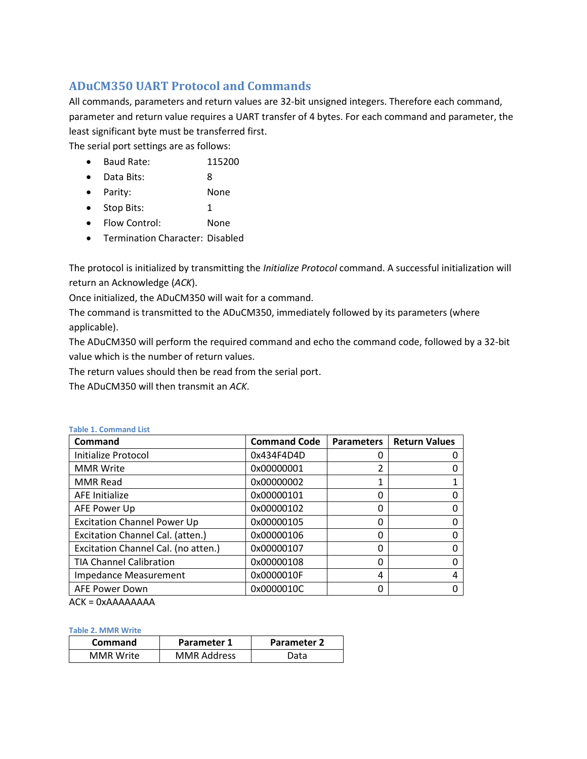# **ADuCM350 UART Protocol and Commands**

All commands, parameters and return values are 32-bit unsigned integers. Therefore each command, parameter and return value requires a UART transfer of 4 bytes. For each command and parameter, the least significant byte must be transferred first.

The serial port settings are as follows:

- Baud Rate: 115200
- Data Bits: 8
- Parity: None
- Stop Bits: 1
- Flow Control: None
- Termination Character: Disabled

The protocol is initialized by transmitting the *Initialize Protocol* command. A successful initialization will return an Acknowledge (*ACK*).

Once initialized, the ADuCM350 will wait for a command.

The command is transmitted to the ADuCM350, immediately followed by its parameters (where applicable).

The ADuCM350 will perform the required command and echo the command code, followed by a 32-bit value which is the number of return values.

The return values should then be read from the serial port.

The ADuCM350 will then transmit an *ACK*.

| Command                             | <b>Command Code</b> | <b>Parameters</b> | <b>Return Values</b> |
|-------------------------------------|---------------------|-------------------|----------------------|
| Initialize Protocol                 | 0x434F4D4D          | O                 |                      |
| <b>MMR Write</b>                    | 0x00000001          | 2                 |                      |
| <b>MMR Read</b>                     | 0x00000002          | 1                 |                      |
| <b>AFE</b> Initialize               | 0x00000101          | 0                 |                      |
| AFE Power Up                        | 0x00000102          | 0                 |                      |
| <b>Excitation Channel Power Up</b>  | 0x00000105          | 0                 |                      |
| Excitation Channel Cal. (atten.)    | 0x00000106          | 0                 |                      |
| Excitation Channel Cal. (no atten.) | 0x00000107          | 0                 |                      |
| <b>TIA Channel Calibration</b>      | 0x00000108          | 0                 |                      |
| <b>Impedance Measurement</b>        | 0x0000010F          | 4                 | 4                    |
| AFE Power Down                      | 0x0000010C          |                   |                      |

## **Table 1. Command List**

ACK = 0xAAAAAAAA

**Table 2. MMR Write**

| Command          | Parameter 1        | <b>Parameter 2</b> |
|------------------|--------------------|--------------------|
| <b>MMR Write</b> | <b>MMR Address</b> | Data               |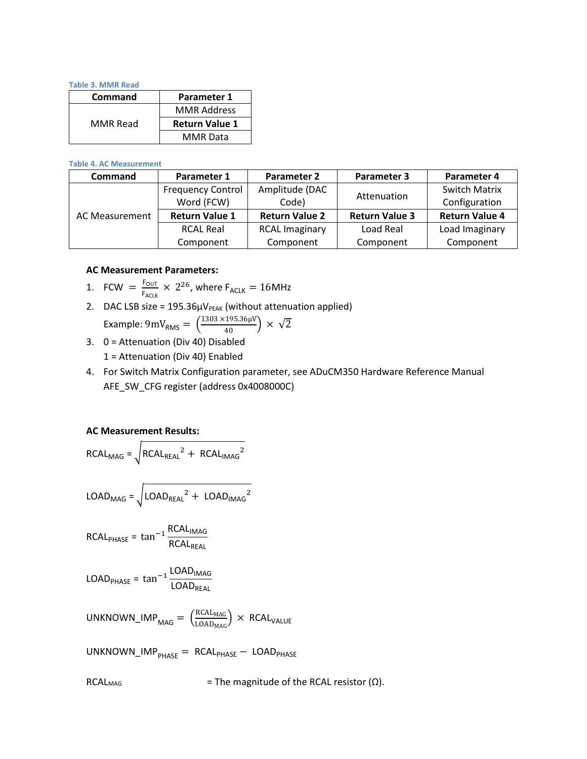**Table 3. MMR Read**

| Command  | Parameter 1           |  |
|----------|-----------------------|--|
| MMR Read | <b>MMR Address</b>    |  |
|          | <b>Return Value 1</b> |  |
|          | <b>MMR</b> Data       |  |

#### **Table 4. AC Measurement**

| Command        | Parameter 1              | <b>Parameter 2</b>    | Parameter 3           | Parameter 4           |
|----------------|--------------------------|-----------------------|-----------------------|-----------------------|
| AC Measurement | <b>Frequency Control</b> | Amplitude (DAC        | Attenuation           | <b>Switch Matrix</b>  |
|                | Word (FCW)               | Code)                 |                       | Configuration         |
|                | <b>Return Value 1</b>    | <b>Return Value 2</b> | <b>Return Value 3</b> | <b>Return Value 4</b> |
|                | <b>RCAL Real</b>         | <b>RCAL Imaginary</b> | Load Real             | Load Imaginary        |
|                | Component                | Component             | Component             | Component             |

# **AC Measurement Parameters:**

1. FCW = 
$$
\frac{F_{OUT}}{F_{ACK}}
$$
 × 2<sup>26</sup>, where F<sub>ACK</sub> = 16MHz

- 2. DAC LSB size =  $195.36\mu V_{PEAK}$  (without attenuation applied) Example: 9mV<sub>RMS</sub> =  $\left(\frac{1303 \times 195.36 \mu V}{40}\right) \times \sqrt{2}$
- 3. 0 = Attenuation (Div 40) Disabled 1 = Attenuation (Div 40) Enabled
- 4. For Switch Matrix Configuration parameter, see ADuCM350 Hardware Reference Manual AFE\_SW\_CFG register (address 0x4008000C)

## **AC Measurement Results:**

$$
RCAL_{MAG} = \sqrt{RCAL_{REAL}^2 + RCAL_{IMAG}^2}
$$

$$
LOAD_{\text{MAG}} = \sqrt{LOAD_{\text{REAL}}^2 + LOAD_{\text{IMAG}}^2}
$$

$$
RCALPHASE = tan-1 \frac{RCALIMAG}{RCALREAL}
$$

$$
LOADPHASE = \tan^{-1} \frac{LOADIMAG}{LOADRAL}
$$

$$
\text{UNKNOWLEDN} = \left(\frac{\text{RCAL}_{\text{MAG}}}{\text{LOAD}_{\text{MAG}}}\right) \times \text{RCAL}_{\text{VALUE}}
$$

 $UNKNOWN\_IMP_{PHASE} = RCAL_{PHASE} - LOAD_{PHASE}$ 

 $RCAL_{MAG}$  = The magnitude of the RCAL resistor ( $\Omega$ ).